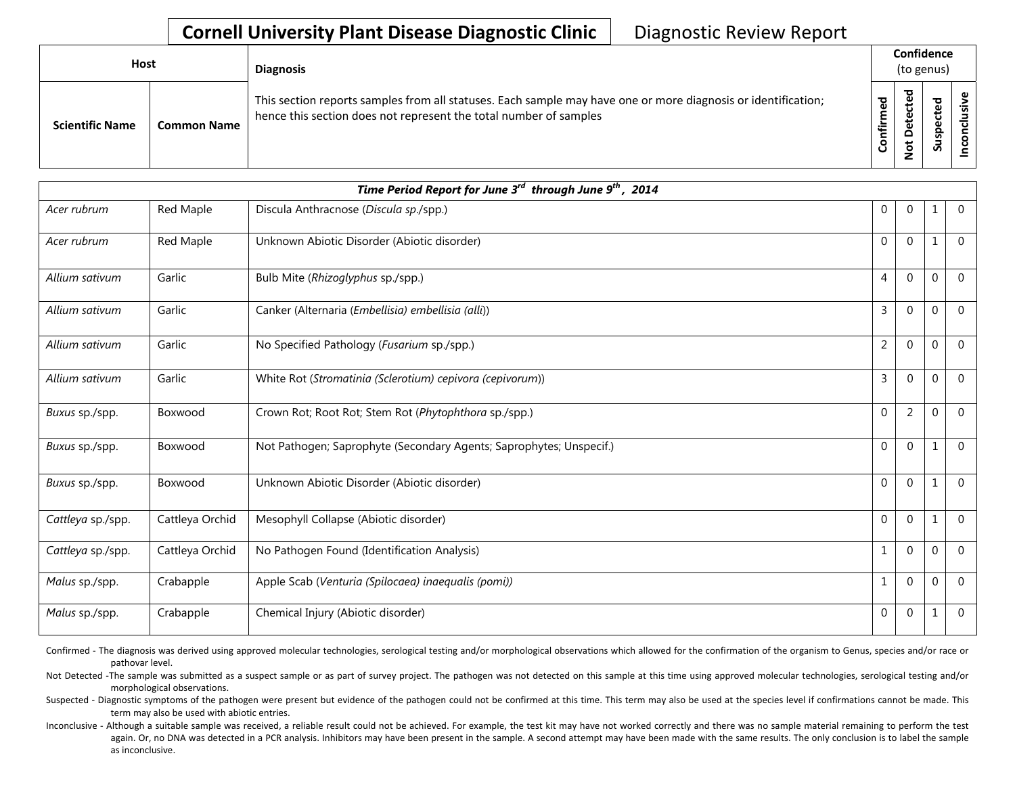## **Cornell University Plant Disease Diagnostic Clinic** | Diagnostic Review Report

| <b>Host</b> |                        |                    | <b>Diagnosis</b>                                                                                                                                                                   |               | Confidence<br>(to genus) |                |   |
|-------------|------------------------|--------------------|------------------------------------------------------------------------------------------------------------------------------------------------------------------------------------|---------------|--------------------------|----------------|---|
|             | <b>Scientific Name</b> | <b>Common Name</b> | This section reports samples from all statuses. Each sample may have one or more diagnosis or identification;<br>hence this section does not represent the total number of samples | ᅙ<br>╘<br>tir | ਠ<br>e<br>₽<br>ى<br>ءِ   | Ъэ<br>ဒ္ဓ<br>ഄ | ω |

| Time Period Report for June 3 <sup>rd</sup> through June 9 <sup>th</sup> , 2014 |                 |                                                                     |                |                |          |                |  |
|---------------------------------------------------------------------------------|-----------------|---------------------------------------------------------------------|----------------|----------------|----------|----------------|--|
| Acer rubrum                                                                     | Red Maple       | Discula Anthracnose (Discula sp./spp.)                              | $\mathbf{0}$   | $\Omega$       | 1        | $\overline{0}$ |  |
| Acer rubrum                                                                     | Red Maple       | Unknown Abiotic Disorder (Abiotic disorder)                         | $\mathbf 0$    | $\Omega$       | 1        | $\overline{0}$ |  |
| Allium sativum                                                                  | Garlic          | Bulb Mite (Rhizoglyphus sp./spp.)                                   | $\overline{4}$ | $\mathbf{0}$   | 0        | $\overline{0}$ |  |
| Allium sativum                                                                  | Garlic          | Canker (Alternaria (Embellisia) embellisia (alli))                  | 3              | $\Omega$       | $\Omega$ | $\Omega$       |  |
| Allium sativum                                                                  | Garlic          | No Specified Pathology (Fusarium sp./spp.)                          | $\overline{2}$ | $\mathbf{0}$   | 0        | $\overline{0}$ |  |
| Allium sativum                                                                  | Garlic          | White Rot (Stromatinia (Sclerotium) cepivora (cepivorum))           | 3              | $\Omega$       | $\Omega$ | $\Omega$       |  |
| Buxus sp./spp.                                                                  | Boxwood         | Crown Rot; Root Rot; Stem Rot (Phytophthora sp./spp.)               | $\mathbf 0$    | $\overline{2}$ | 0        | $\Omega$       |  |
| Buxus sp./spp.                                                                  | Boxwood         | Not Pathogen; Saprophyte (Secondary Agents; Saprophytes; Unspecif.) | $\mathbf 0$    | $\Omega$       | 1        | $\overline{0}$ |  |
| Buxus sp./spp.                                                                  | Boxwood         | Unknown Abiotic Disorder (Abiotic disorder)                         | $\Omega$       | $\Omega$       | 1        | $\mathbf 0$    |  |
| Cattleya sp./spp.                                                               | Cattleya Orchid | Mesophyll Collapse (Abiotic disorder)                               | $\Omega$       | $\Omega$       | 1        | $\overline{0}$ |  |
| Cattleya sp./spp.                                                               | Cattleya Orchid | No Pathogen Found (Identification Analysis)                         | $\mathbf{1}$   | $\Omega$       | 0        | $\overline{0}$ |  |
| Malus sp./spp.                                                                  | Crabapple       | Apple Scab (Venturia (Spilocaea) inaequalis (pomi))                 | $\mathbf{1}$   | $\Omega$       | 0        | $\Omega$       |  |
| Malus sp./spp.                                                                  | Crabapple       | Chemical Injury (Abiotic disorder)                                  | $\mathbf{0}$   | $\Omega$       | 1        | $\theta$       |  |

Confirmed - The diagnosis was derived using approved molecular technologies, serological testing and/or morphological observations which allowed for the confirmation of the organism to Genus, species and/or race or pathovar level.

Not Detected -The sample was submitted as a suspect sample or as part of survey project. The pathogen was not detected on this sample at this time using approved molecular technologies, serological testing and/or morphological observations.

Suspected - Diagnostic symptoms of the pathogen were present but evidence of the pathogen could not be confirmed at this time. This term may also be used at the species level if confirmations cannot be made. This term may also be used with abiotic entries.

Inconclusive - Although a suitable sample was received, a reliable result could not be achieved. For example, the test kit may have not worked correctly and there was no sample material remaining to perform the test again. Or, no DNA was detected in a PCR analysis. Inhibitors may have been present in the sample. A second attempt may have been made with the same results. The only conclusion is to label the sample as inconclusive.